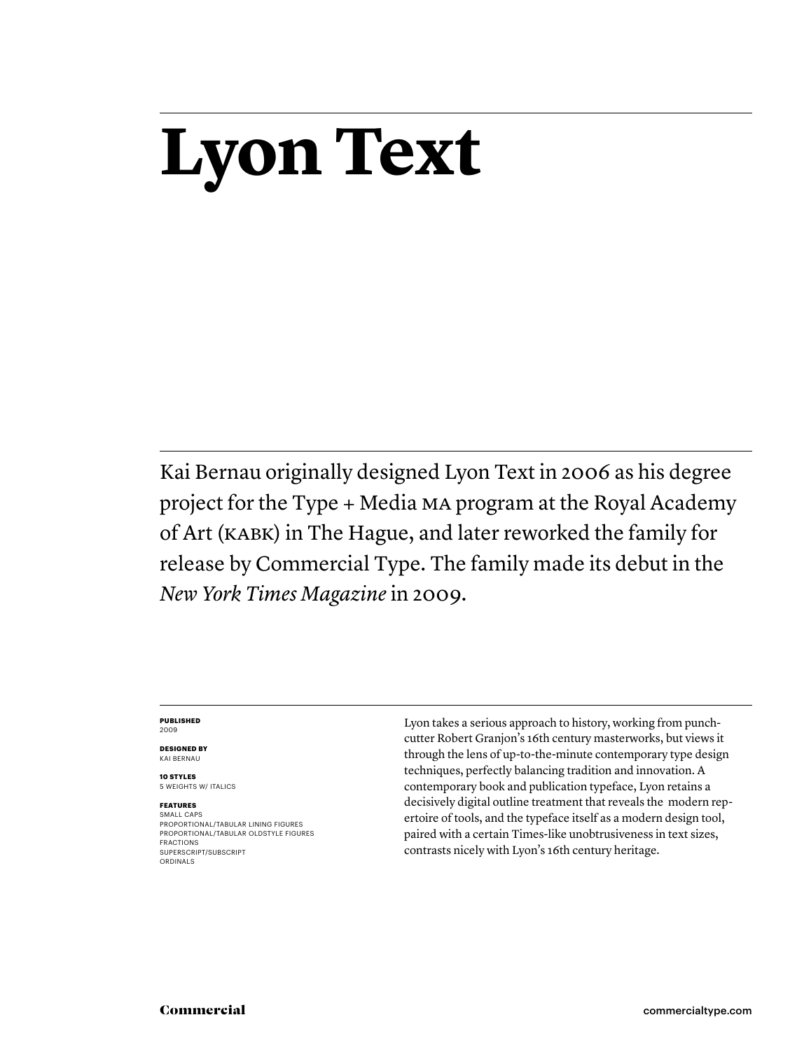# **Lyon Text**

Kai Bernau originally designed Lyon Text in 2006 as his degree project for the Type + Media MA program at the Royal Academy of Art (KABK) in The Hague, and later reworked the family for release by Commercial Type. The family made its debut in the *New York Times Magazine* in 2009.

#### **PUBLISHED** 2009

**DESIGNED BY** KAI BERNAU

**10 STYLES** 5 WEIGHTS W/ ITALICS

# **FEATURES**

SMALL CAPS PROPORTIONAL/TABULAR LINING FIGURES PROPORTIONAL/TABULAR OLDSTYLE FIGURES FRACTIONS SUPERSCRIPT/SUBSCRIPT ORDINALS

Lyon takes a serious approach to history, working from punchcutter Robert Granjon's 16th century masterworks, but views it through the lens of up-to-the-minute contemporary type design techniques, perfectly balancing tradition and innovation. A contemporary book and publication typeface, Lyon retains a decisively digital outline treatment that reveals the modern repertoire of tools, and the typeface itself as a modern design tool, paired with a certain Times-like unobtrusiveness in text sizes, contrasts nicely with Lyon's 16th century heritage.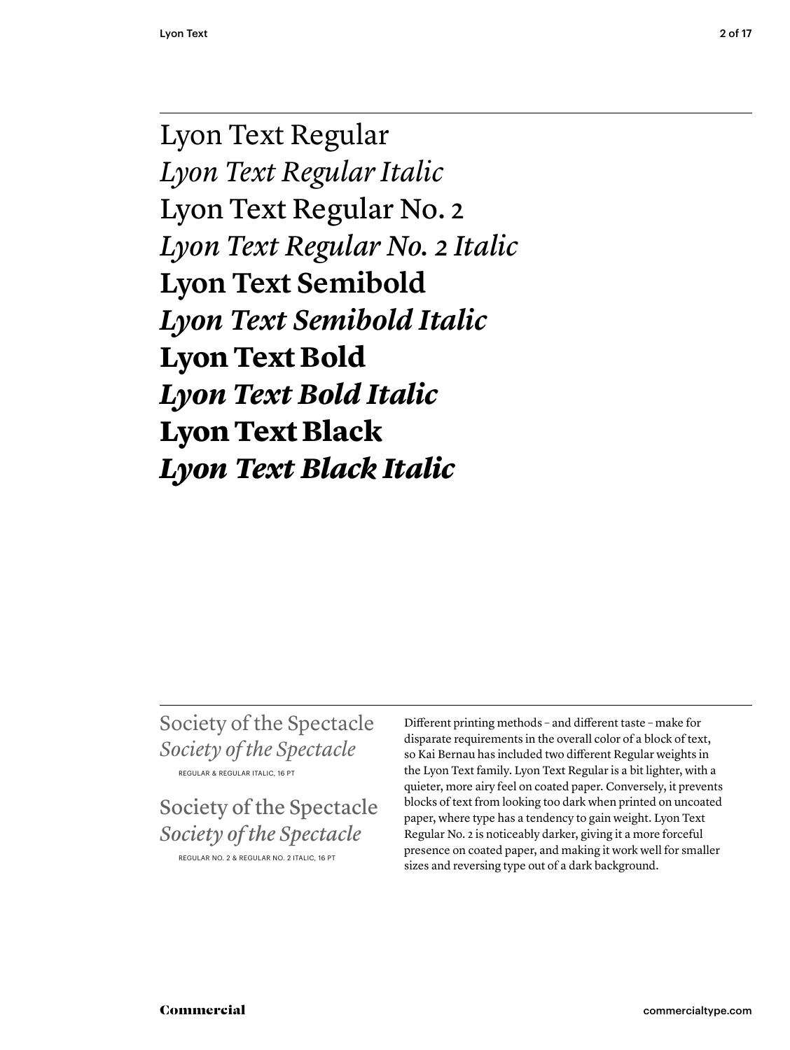Lyon Text Regular *Lyon Text Regular Italic* Lyon Text Regular No. 2 *Lyon Text Regular No. 2 Italic* **Lyon Text Semibold** *Lyon Text Semibold Italic* **Lyon Text Bold** *Lyon Text Bold Italic* Lyon Text Black *Lyon Text Black Italic*

Society of the Spectacle *Society of the Spectacle* REGULAR & REGULAR ITALIC, 16 PT

Society of the Spectacle *Society of the Spectacle*

REGULAR NO. 2 & REGULAR NO. 2 ITALIC, 16 PT

Different printing methods – and different taste – make for disparate requirements in the overall color of a block of text, so Kai Bernau has included two different Regular weights in the Lyon Text family. Lyon Text Regular is a bit lighter, with a quieter, more airy feel on coated paper. Conversely, it prevents blocks of text from looking too dark when printed on uncoated paper, where type has a tendency to gain weight. Lyon Text Regular No. 2 is noticeably darker, giving it a more forceful presence on coated paper, and making it work well for smaller sizes and reversing type out of a dark background.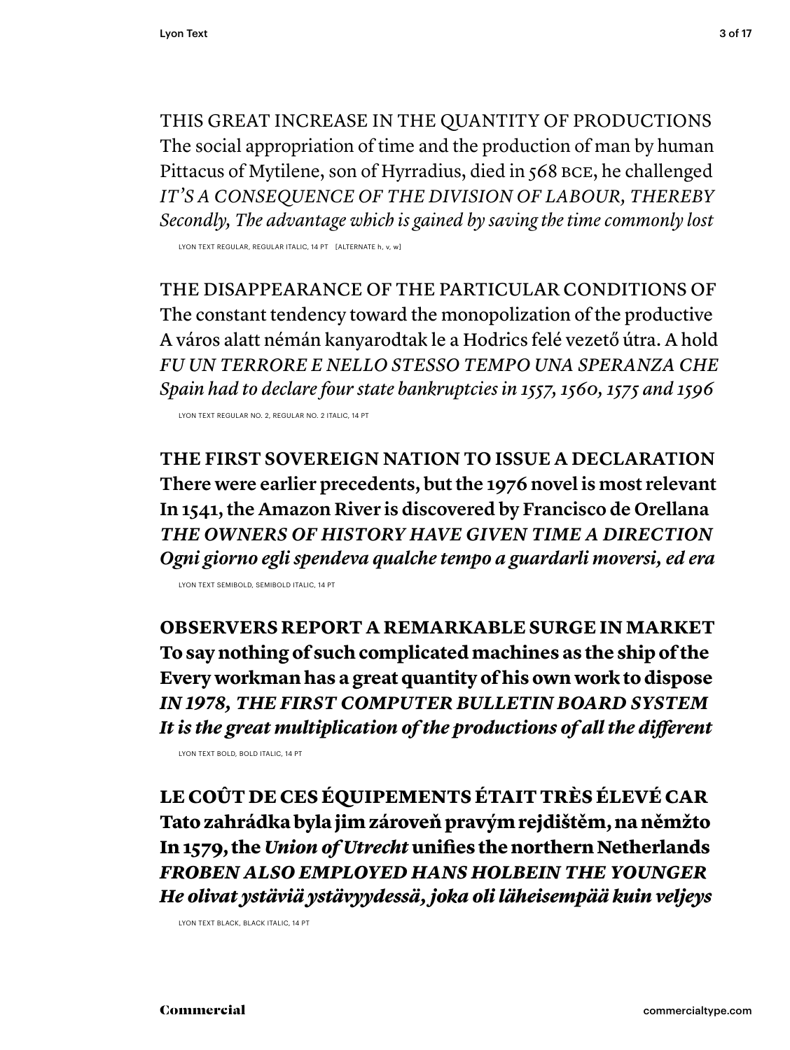THIS GREAT INCREASE IN THE QUANTITY OF PRODUCTIONS The social appropriation of time and the production of man by human Pittacus of Mytilene, son of Hyrradius, died in 568 BCE, he challenged *IT'S A CONSEQUENCE OF THE DIVISION OF LABOUR, THEREBY Secondly, The advantage which is gained by saving the time commonly lost*

LYON TEXT REGULAR, REGULAR ITALIC, 14 PT [ALTERNATE h, v, w]

THE DISAPPEARANCE OF THE PARTICULAR CONDITIONS OF The constant tendency toward the monopolization of the productive A város alatt némán kanyarodtak le a Hodrics felé vezető útra. A hold *FU UN TERRORE E NELLO STESSO TEMPO UNA SPERANZA CHE Spain had to declare four state bankruptcies in 1557, 1560, 1575 and 1596*

LYON TEXT REGULAR NO. 2, REGULAR NO. 2 ITALIC, 14 PT

**THE FIRST SOVEREIGN NATION TO ISSUE A DECLARATION There were earlier precedents, but the 1976 novel is most relevant In 1541, the Amazon River is discovered by Francisco de Orellana** *THE OWNERS OF HISTORY HAVE GIVEN TIME A DIRECTION Ogni giorno egli spendeva qualche tempo a guardarli moversi, ed era*

LYON TEXT SEMIBOLD, SEMIBOLD ITALIC, 14 PT

**OBSERVERS REPORT A REMARKABLE SURGE IN MARKET To say nothing of such complicated machines as the ship of the Every workman has a great quantity of his own work to dispose** *IN 1978, THE FIRST COMPUTER BULLETIN BOARD SYSTEM* It is the great multiplication of the productions of all the different

LYON TEXT BOLD, BOLD ITALIC, 14 PT

LE COÛT DE CES ÉQUIPEMENTS ÉTAIT TRÈS ÉLEVÉ CAR Tato zahrádka byla jim zároveň pravým rejdištěm, na němžto In 1579, the *Union of Utrecht* unifies the northern Netherlands *FROBEN ALSO EMPLOYED HANS HOLBEIN THE YOUNGER He olivat ystäviä ystävyydessä, joka oli läheisempää kuin veljeys*

LYON TEXT BLACK, BLACK ITALIC, 14 PT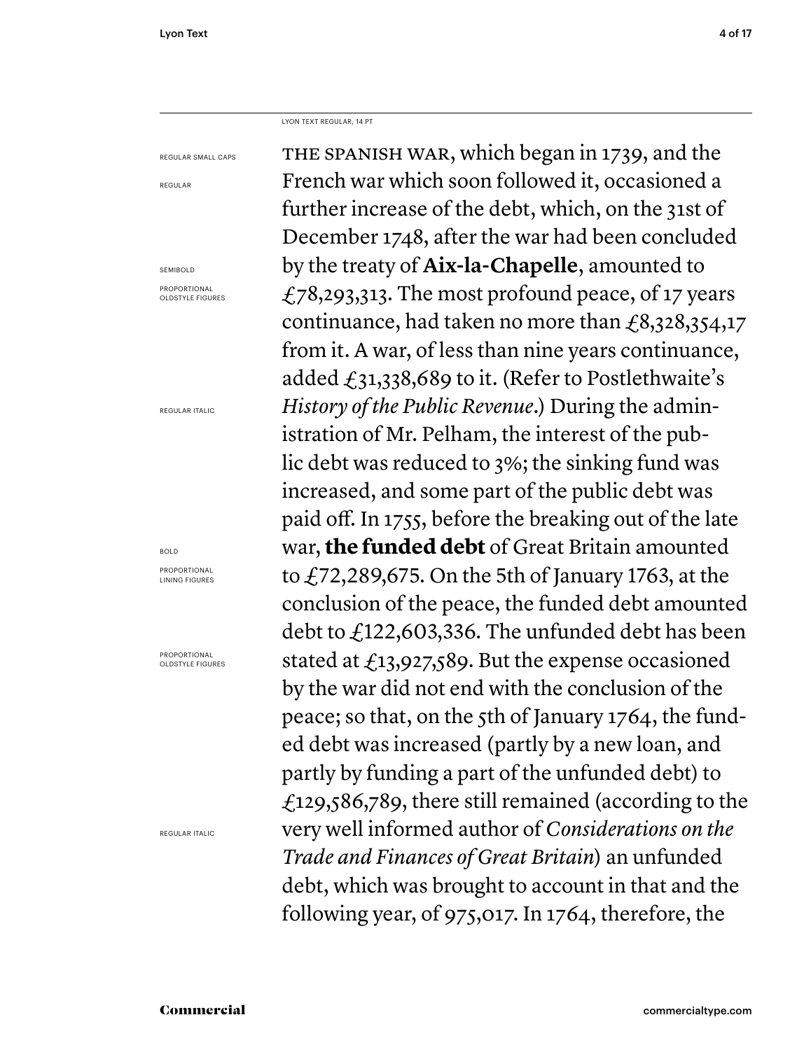LYON TEXT REGULAR, 14 PT

REGULAR SMALL CAPS

REGULAR

SEMIBOLD

PROPORTIONAL OLDSTYLE FIGURES

REGULAR ITALIC

### BOLD

PROPORTIONAL LINING FIGURES

PROPORTIONAL OLDSTYLE FIGURES

REGULAR ITALIC

THE SPANISH WAR, which began in 1739, and the French war which soon followed it, occasioned a further increase of the debt, which, on the 31st of December 1748, after the war had been concluded by the treaty of **Aix-la-Chapelle**, amounted to £78,293,313. The most profound peace, of 17 years continuance, had taken no more than  $\text{\textsterling}8,328,354,17$ from it. A war, of less than nine years continuance, added  $\text{\textsterling}31,338,689$  to it. (Refer to Postlethwaite's *History of the Public Revenue*.) During the administration of Mr. Pelham, the interest of the public debt was reduced to 3%; the sinking fund was increased, and some part of the public debt was paid off. In 1755, before the breaking out of the late war, **the funded debt** of Great Britain amounted to  $\angle$  72,289,675. On the 5th of January 1763, at the conclusion of the peace, the funded debt amounted debt to £122,603,336. The unfunded debt has been stated at £13,927,589. But the expense occasioned by the war did not end with the conclusion of the peace; so that, on the 5th of January 1764, the funded debt was increased (partly by a new loan, and partly by funding a part of the unfunded debt) to £129,586,789, there still remained (according to the very well informed author of *Considerations on the Trade and Finances of Great Britain*) an unfunded debt, which was brought to account in that and the following year, of 975,017. In 1764, therefore, the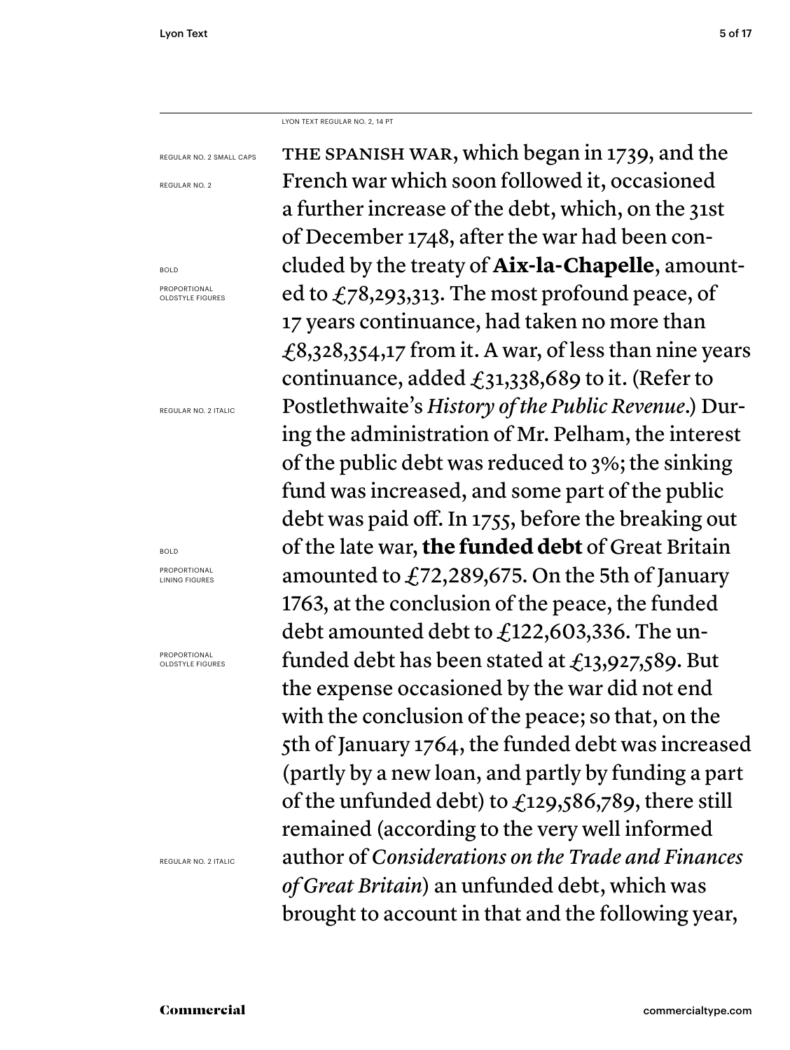LYON TEXT REGULAR NO. 2, 14 PT

REGULAR NO. 2 SMALL CAPS

REGULAR NO. 2

BOLD PROPORTIONAL OLDSTYLE FIGURES

REGULAR NO. 2 ITALIC

BOLD

PROPORTIONAL LINING FIGURES

PROPORTIONAL OLDSTYLE FIGURES

REGULAR NO. 2 ITALIC

THE SPANISH WAR, which began in 1739, and the French war which soon followed it, occasioned a further increase of the debt, which, on the 31st of December 1748, after the war had been concluded by the treaty of **Aix-la-Chapelle**, amounted to  $f_78,293,313$ . The most profound peace, of 17 years continuance, had taken no more than £8,328,354,17 from it. A war, of less than nine years continuance, added  $f_31,338,689$  to it. (Refer to Postlethwaite's *History of the Public Revenue*.) During the administration of Mr. Pelham, the interest of the public debt was reduced to 3%; the sinking fund was increased, and some part of the public debt was paid off. In 1755, before the breaking out of the late war, **the funded debt** of Great Britain amounted to £72,289,675. On the 5th of January 1763, at the conclusion of the peace, the funded debt amounted debt to £122,603,336. The unfunded debt has been stated at  $\text{\textsterling}13,927,589$ . But the expense occasioned by the war did not end with the conclusion of the peace; so that, on the 5th of January 1764, the funded debt was increased (partly by a new loan, and partly by funding a part of the unfunded debt) to  $f_{129,586,789}$ , there still remained (according to the very well informed author of *Considerations on the Trade and Finances of Great Britain*) an unfunded debt, which was brought to account in that and the following year,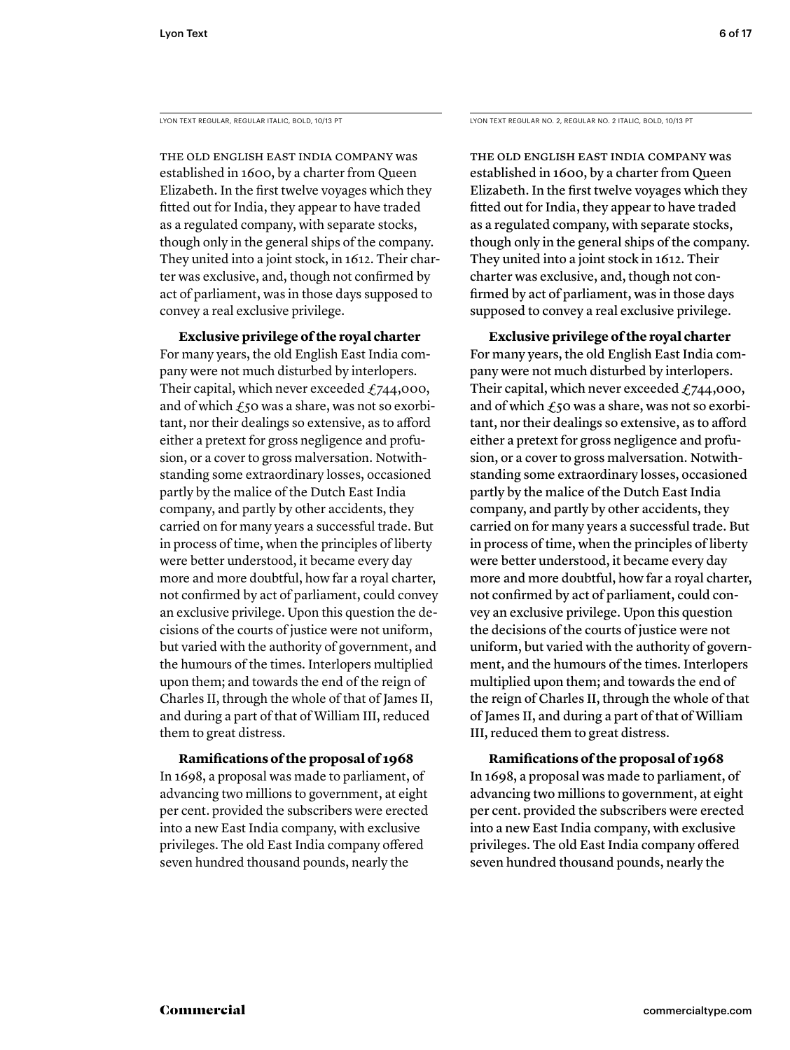THE OLD ENGLISH EAST INDIA COMPANY was established in 1600, by a charter from Queen Elizabeth. In the first twelve voyages which they fitted out for India, they appear to have traded as a regulated company, with separate stocks, though only in the general ships of the company. They united into a joint stock, in 1612. Their charter was exclusive, and, though not confirmed by act of parliament, was in those days supposed to convey a real exclusive privilege.

 **Exclusive privilege of the royal charter** For many years, the old English East India company were not much disturbed by interlopers. Their capital, which never exceeded  $f$ , 744,000, and of which  $\epsilon$ 50 was a share, was not so exorbitant, nor their dealings so extensive, as to afford either a pretext for gross negligence and profusion, or a cover to gross malversation. Notwithstanding some extraordinary losses, occasioned partly by the malice of the Dutch East India company, and partly by other accidents, they carried on for many years a successful trade. But in process of time, when the principles of liberty were better understood, it became every day more and more doubtful, how far a royal charter, not confirmed by act of parliament, could convey an exclusive privilege. Upon this question the decisions of the courts of justice were not uniform, but varied with the authority of government, and the humours of the times. Interlopers multiplied upon them; and towards the end of the reign of Charles II, through the whole of that of James II, and during a part of that of William III, reduced them to great distress.

# **Ramifications of the proposal of 1968**

In 1698, a proposal was made to parliament, of advancing two millions to government, at eight per cent. provided the subscribers were erected into a new East India company, with exclusive privileges. The old East India company offered seven hundred thousand pounds, nearly the

LYON TEXT REGULAR, REGULAR ITALIC, BOLD, 10/13 PT LYON TEXT REGULAR NO. 2, REGULAR NO. 2 ITALIC, BOLD, 10/13 PT

THE OLD ENGLISH EAST INDIA COMPANY was established in 1600, by a charter from Queen Elizabeth. In the first twelve voyages which they fitted out for India, they appear to have traded as a regulated company, with separate stocks, though only in the general ships of the company. They united into a joint stock in 1612. Their charter was exclusive, and, though not confirmed by act of parliament, was in those days supposed to convey a real exclusive privilege.

 **Exclusive privilege of the royal charter** For many years, the old English East India company were not much disturbed by interlopers. Their capital, which never exceeded  $f$ 744,000, and of which  $\mathcal{L}_5$ 0 was a share, was not so exorbitant, nor their dealings so extensive, as to afford either a pretext for gross negligence and profusion, or a cover to gross malversation. Notwithstanding some extraordinary losses, occasioned partly by the malice of the Dutch East India company, and partly by other accidents, they carried on for many years a successful trade. But in process of time, when the principles of liberty were better understood, it became every day more and more doubtful, how far a royal charter, not confirmed by act of parliament, could convey an exclusive privilege. Upon this question the decisions of the courts of justice were not uniform, but varied with the authority of government, and the humours of the times. Interlopers multiplied upon them; and towards the end of the reign of Charles II, through the whole of that of James II, and during a part of that of William III, reduced them to great distress.

# **Ramifications of the proposal of 1968**

In 1698, a proposal was made to parliament, of advancing two millions to government, at eight per cent. provided the subscribers were erected into a new East India company, with exclusive privileges. The old East India company offered seven hundred thousand pounds, nearly the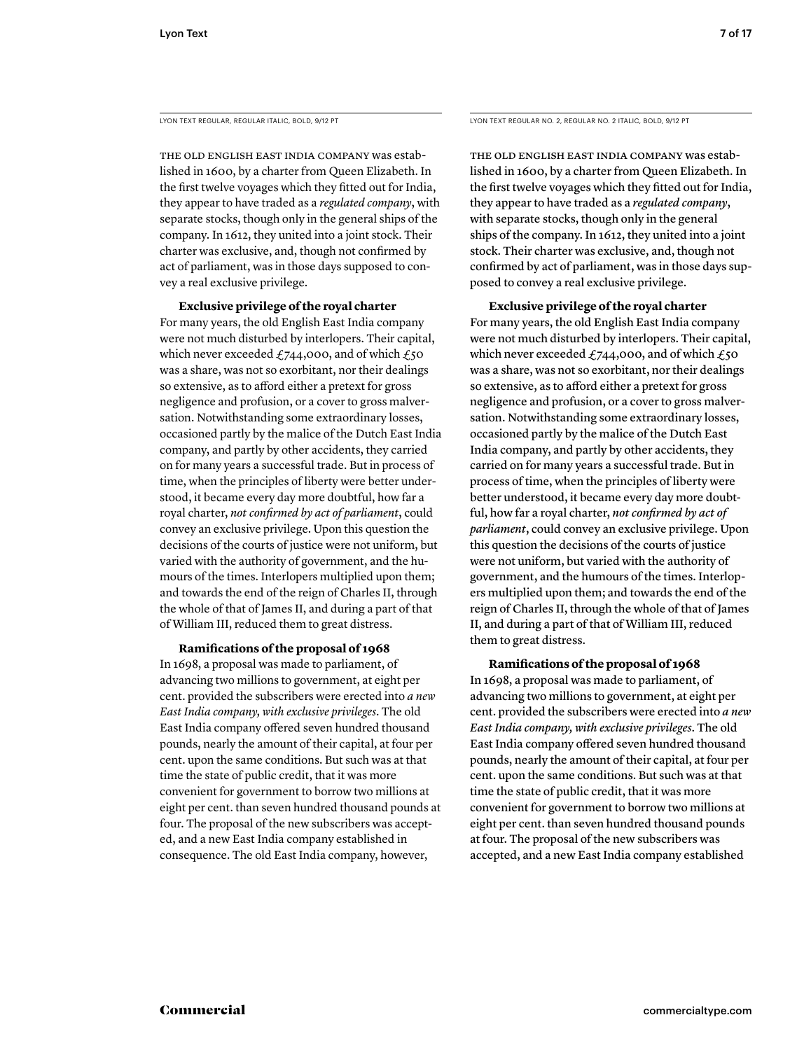LYON TEXT REGULAR, REGULAR ITALIC, BOLD, 9/12 PT

THE OLD ENGLISH EAST INDIA COMPANY was established in 1600, by a charter from Queen Elizabeth. In the first twelve voyages which they fitted out for India, they appear to have traded as a *regulated company*, with separate stocks, though only in the general ships of the company. In 1612, they united into a joint stock. Their charter was exclusive, and, though not confirmed by act of parliament, was in those days supposed to convey a real exclusive privilege.

 **Exclusive privilege of the royal charter** For many years, the old English East India company were not much disturbed by interlopers. Their capital, which never exceeded  $£744,000$ , and of which  $£50$ was a share, was not so exorbitant, nor their dealings so extensive, as to afford either a pretext for gross negligence and profusion, or a cover to gross malversation. Notwithstanding some extraordinary losses, occasioned partly by the malice of the Dutch East India company, and partly by other accidents, they carried on for many years a successful trade. But in process of time, when the principles of liberty were better understood, it became every day more doubtful, how far a royal charter, *not confirmed by act of parliament*, could convey an exclusive privilege. Upon this question the decisions of the courts of justice were not uniform, but varied with the authority of government, and the humours of the times. Interlopers multiplied upon them; and towards the end of the reign of Charles II, through the whole of that of James II, and during a part of that of William III, reduced them to great distress.

# **Ramifications of the proposal of 1968**

In 1698, a proposal was made to parliament, of advancing two millions to government, at eight per cent. provided the subscribers were erected into *a new East India company, with exclusive privileges*. The old East India company offered seven hundred thousand pounds, nearly the amount of their capital, at four per cent. upon the same conditions. But such was at that time the state of public credit, that it was more convenient for government to borrow two millions at eight per cent. than seven hundred thousand pounds at four. The proposal of the new subscribers was accepted, and a new East India company established in consequence. The old East India company, however,

LYON TEXT REGULAR NO. 2, REGULAR NO. 2 ITALIC, BOLD, 9/12 PT

THE OLD ENGLISH EAST INDIA COMPANY was established in 1600, by a charter from Queen Elizabeth. In the first twelve voyages which they fitted out for India, they appear to have traded as a *regulated company*, with separate stocks, though only in the general ships of the company. In 1612, they united into a joint stock. Their charter was exclusive, and, though not confirmed by act of parliament, was in those days supposed to convey a real exclusive privilege.

 **Exclusive privilege of the royal charter** For many years, the old English East India company were not much disturbed by interlopers. Their capital, which never exceeded £744,000, and of which  $£50$ was a share, was not so exorbitant, nor their dealings so extensive, as to afford either a pretext for gross negligence and profusion, or a cover to gross malversation. Notwithstanding some extraordinary losses, occasioned partly by the malice of the Dutch East India company, and partly by other accidents, they carried on for many years a successful trade. But in process of time, when the principles of liberty were better understood, it became every day more doubtful, how far a royal charter, *not confirmed by act of parliament*, could convey an exclusive privilege. Upon this question the decisions of the courts of justice were not uniform, but varied with the authority of government, and the humours of the times. Interlopers multiplied upon them; and towards the end of the reign of Charles II, through the whole of that of James II, and during a part of that of William III, reduced them to great distress.

# **Ramifications of the proposal of 1968**

In 1698, a proposal was made to parliament, of advancing two millions to government, at eight per cent. provided the subscribers were erected into *a new East India company, with exclusive privileges*. The old East India company offered seven hundred thousand pounds, nearly the amount of their capital, at four per cent. upon the same conditions. But such was at that time the state of public credit, that it was more convenient for government to borrow two millions at eight per cent. than seven hundred thousand pounds at four. The proposal of the new subscribers was accepted, and a new East India company established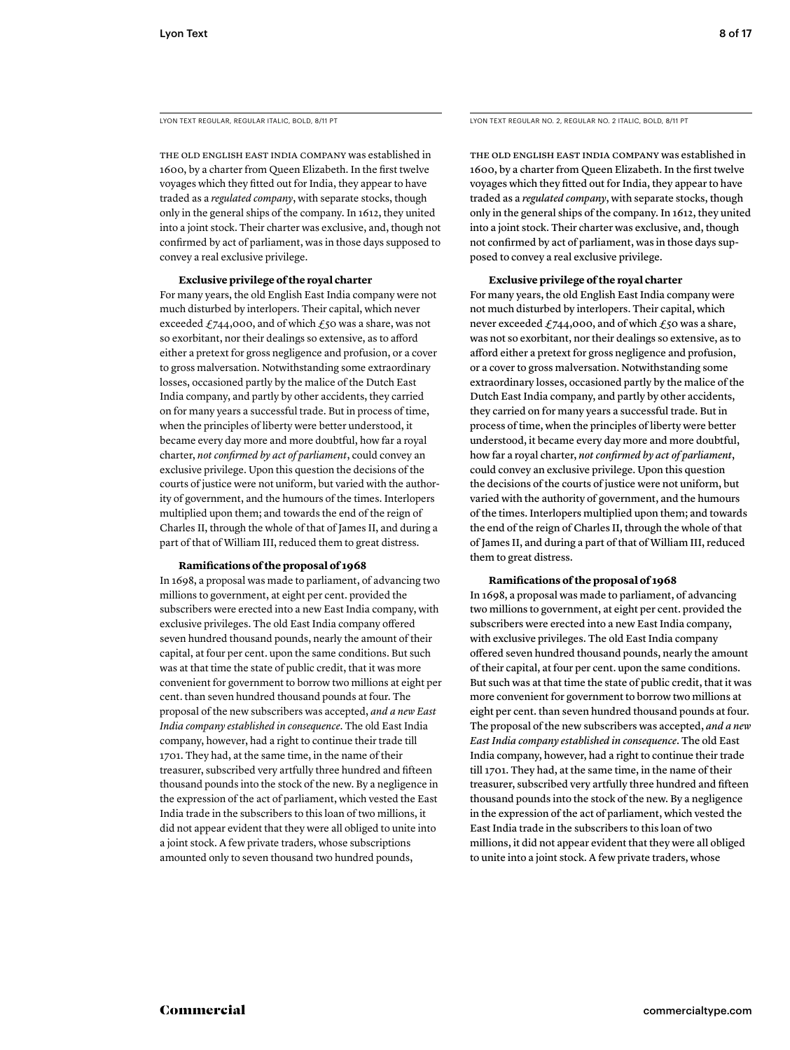LYON TEXT REGULAR, REGULAR ITALIC, BOLD, 8/11 PT

THE OLD ENGLISH EAST INDIA COMPANY was established in 1600, by a charter from Queen Elizabeth. In the first twelve voyages which they fitted out for India, they appear to have traded as a *regulated company*, with separate stocks, though only in the general ships of the company. In 1612, they united into a joint stock. Their charter was exclusive, and, though not confirmed by act of parliament, was in those days supposed to convey a real exclusive privilege.

# **Exclusive privilege of the royal charter**

For many years, the old English East India company were not much disturbed by interlopers. Their capital, which never exceeded  $£744,000$ , and of which  $£50$  was a share, was not so exorbitant, nor their dealings so extensive, as to afford either a pretext for gross negligence and profusion, or a cover to gross malversation. Notwithstanding some extraordinary losses, occasioned partly by the malice of the Dutch East India company, and partly by other accidents, they carried on for many years a successful trade. But in process of time, when the principles of liberty were better understood, it became every day more and more doubtful, how far a royal charter, *not confirmed by act of parliament*, could convey an exclusive privilege. Upon this question the decisions of the courts of justice were not uniform, but varied with the authority of government, and the humours of the times. Interlopers multiplied upon them; and towards the end of the reign of Charles II, through the whole of that of James II, and during a part of that of William III, reduced them to great distress.

# **Ramifi cations of the proposal of 1968**

In 1698, a proposal was made to parliament, of advancing two millions to government, at eight per cent. provided the subscribers were erected into a new East India company, with exclusive privileges. The old East India company offered seven hundred thousand pounds, nearly the amount of their capital, at four per cent. upon the same conditions. But such was at that time the state of public credit, that it was more convenient for government to borrow two millions at eight per cent. than seven hundred thousand pounds at four. The proposal of the new subscribers was accepted, *and a new East India company established in consequence*. The old East India company, however, had a right to continue their trade till 1701. They had, at the same time, in the name of their treasurer, subscribed very artfully three hundred and fifteen thousand pounds into the stock of the new. By a negligence in the expression of the act of parliament, which vested the East India trade in the subscribers to this loan of two millions, it did not appear evident that they were all obliged to unite into a joint stock. A few private traders, whose subscriptions amounted only to seven thousand two hundred pounds,

LYON TEXT REGULAR NO. 2, REGULAR NO. 2 ITALIC, BOLD, 8/11 PT

THE OLD ENGLISH EAST INDIA COMPANY was established in 1600, by a charter from Queen Elizabeth. In the first twelve voyages which they fitted out for India, they appear to have traded as a *regulated company*, with separate stocks, though only in the general ships of the company. In 1612, they united into a joint stock. Their charter was exclusive, and, though not confirmed by act of parliament, was in those days supposed to convey a real exclusive privilege.

## **Exclusive privilege of the royal charter**

For many years, the old English East India company were not much disturbed by interlopers. Their capital, which never exceeded  $£744,000$ , and of which  $£50$  was a share, was not so exorbitant, nor their dealings so extensive, as to afford either a pretext for gross negligence and profusion, or a cover to gross malversation. Notwithstanding some extraordinary losses, occasioned partly by the malice of the Dutch East India company, and partly by other accidents, they carried on for many years a successful trade. But in process of time, when the principles of liberty were better understood, it became every day more and more doubtful, how far a royal charter, *not confirmed by act of parliament*, could convey an exclusive privilege. Upon this question the decisions of the courts of justice were not uniform, but varied with the authority of government, and the humours of the times. Interlopers multiplied upon them; and towards the end of the reign of Charles II, through the whole of that of James II, and during a part of that of William III, reduced them to great distress.

# **Ramifications of the proposal of 1968**

In 1698, a proposal was made to parliament, of advancing two millions to government, at eight per cent. provided the subscribers were erected into a new East India company, with exclusive privileges. The old East India company offered seven hundred thousand pounds, nearly the amount of their capital, at four per cent. upon the same conditions. But such was at that time the state of public credit, that it was more convenient for government to borrow two millions at eight per cent. than seven hundred thousand pounds at four. The proposal of the new subscribers was accepted, *and a new East India company established in consequence*. The old East India company, however, had a right to continue their trade till 1701. They had, at the same time, in the name of their treasurer, subscribed very artfully three hundred and fifteen thousand pounds into the stock of the new. By a negligence in the expression of the act of parliament, which vested the East India trade in the subscribers to this loan of two millions, it did not appear evident that they were all obliged to unite into a joint stock. A few private traders, whose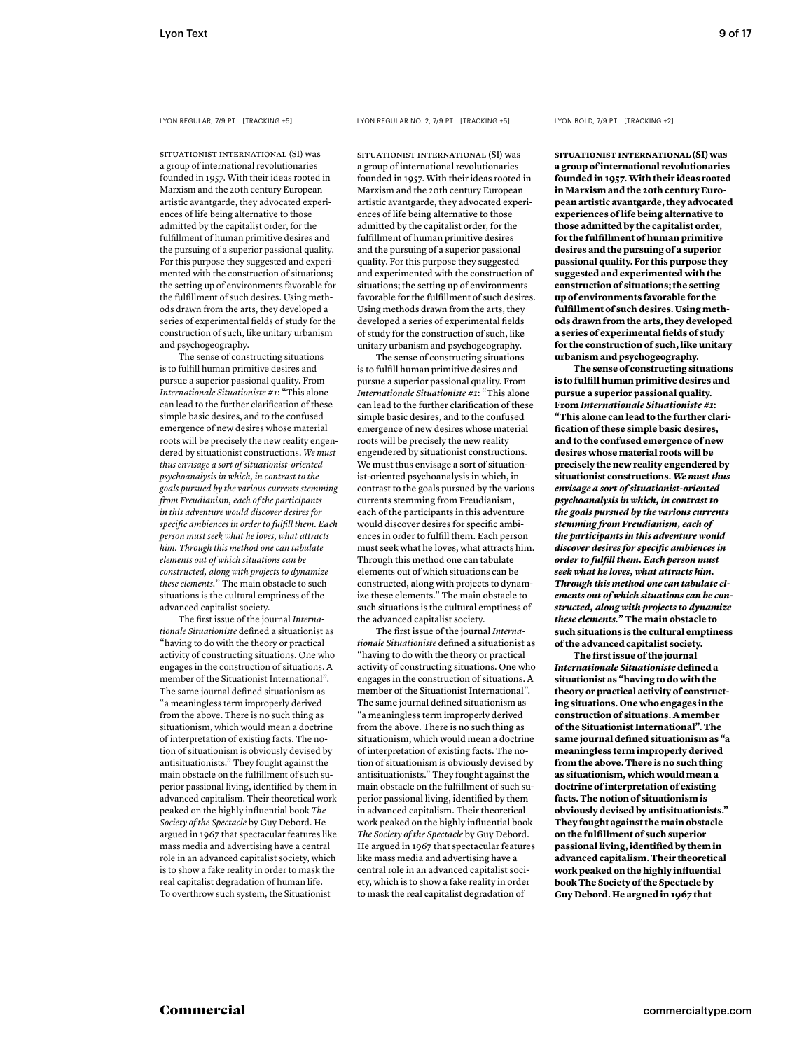SITUATIONIST INTERNATIONAL (SI) was a group of international revolutionaries founded in 1957. With their ideas rooted in Marxism and the 20th century European artistic avantgarde, they advocated experiences of life being alternative to those admitted by the capitalist order, for the fulfillment of human primitive desires and the pursuing of a superior passional quality. For this purpose they suggested and experimented with the construction of situations; the setting up of environments favorable for the fulfillment of such desires. Using methods drawn from the arts, they developed a series of experimental fields of study for the construction of such, like unitary urbanism and psychogeography.

 The sense of constructing situations is to fulfill human primitive desires and pursue a superior passional quality. From *Internationale Situationiste #1*: "This alone can lead to the further clarification of these simple basic desires, and to the confused emergence of new desires whose material roots will be precisely the new reality engendered by situationist constructions. *We must thus envisage a sort of situationist-oriented psychoanalysis in which, in contrast to the goals pursued by the various currents stemming from Freudianism, each of the participants in this adventure would discover desires for specifi c ambiences in order to fulfi ll them. Each person must seek what he loves, what attracts him. Through this method one can tabulate elements out of which situations can be constructed, along with projects to dynamize these elements.*" The main obstacle to such situations is the cultural emptiness of the advanced capitalist society.

The first issue of the journal *Internationale Situationiste* defined a situationist as "having to do with the theory or practical activity of constructing situations. One who engages in the construction of situations. A member of the Situationist International". The same journal defined situationism as "a meaningless term improperly derived from the above. There is no such thing as situationism, which would mean a doctrine of interpretation of existing facts. The notion of situationism is obviously devised by antisituationists." They fought against the main obstacle on the fulfillment of such superior passional living, identified by them in advanced capitalism. Their theoretical work peaked on the highly influential book The *Society of the Spectacle* by Guy Debord. He argued in 1967 that spectacular features like mass media and advertising have a central role in an advanced capitalist society, which is to show a fake reality in order to mask the real capitalist degradation of human life. To overthrow such system, the Situationist

## LYON REGULAR, 7/9 PT [TRACKING +5] LYON REGULAR NO. 2, 7/9 PT [TRACKING +5]

SITUATIONIST INTERNATIONAL (SI) was a group of international revolutionaries founded in 1957. With their ideas rooted in Marxism and the 20th century European artistic avantgarde, they advocated experiences of life being alternative to those admitted by the capitalist order, for the fulfillment of human primitive desires and the pursuing of a superior passional quality. For this purpose they suggested and experimented with the construction of situations; the setting up of environments favorable for the fulfillment of such desires. Using methods drawn from the arts, they developed a series of experimental fields of study for the construction of such, like unitary urbanism and psychogeography.

 The sense of constructing situations is to fulfill human primitive desires and pursue a superior passional quality. From *Internationale Situationiste #1*: "This alone can lead to the further clarification of these simple basic desires, and to the confused emergence of new desires whose material roots will be precisely the new reality engendered by situationist constructions. We must thus envisage a sort of situationist-oriented psychoanalysis in which, in contrast to the goals pursued by the various currents stemming from Freudianism, each of the participants in this adventure would discover desires for specific ambiences in order to fulfill them. Each person must seek what he loves, what attracts him. Through this method one can tabulate elements out of which situations can be constructed, along with projects to dynamize these elements." The main obstacle to such situations is the cultural emptiness of the advanced capitalist society.

The first issue of the journal *Internationale Situationiste* defined a situationist as "having to do with the theory or practical activity of constructing situations. One who engages in the construction of situations. A member of the Situationist International". The same journal defined situationism as "a meaningless term improperly derived from the above. There is no such thing as situationism, which would mean a doctrine of interpretation of existing facts. The notion of situationism is obviously devised by antisituationists." They fought against the main obstacle on the fulfillment of such superior passional living, identified by them in advanced capitalism. Their theoretical work peaked on the highly influential book *The Society of the Spectacle* by Guy Debord. He argued in 1967 that spectacular features like mass media and advertising have a central role in an advanced capitalist society, which is to show a fake reality in order to mask the real capitalist degradation of

## LYON BOLD, 7/9 PT [TRACKING +2]

**SITUATIONIST INTERNATIONAL (SI) was a group of international revolutionaries founded in 1957. With their ideas rooted in Marxism and the 20th century European artistic avantgarde, they advocated experiences of life being alternative to those admitted by the capitalist order, for the fulfi llment of human primitive desires and the pursuing of a superior passional quality. For this purpose they suggested and experimented with the construction of situations; the setting up of environments favorable for the fulfi llment of such desires. Using methods drawn from the arts, they developed**  a series of experimental fields of study **for the construction of such, like unitary urbanism and psychogeography.**

 **The sense of constructing situations**  is to fulfill human primitive desires and **pursue a superior passional quality. From** *Internationale Situationiste #1***: "This alone can lead to the further clarifi cation of these simple basic desires, and to the confused emergence of new desires whose material roots will be precisely the new reality engendered by situationist constructions.** *We must thus envisage a sort of situationist-oriented psychoanalysis in which, in contrast to the goals pursued by the various currents stemming from Freudianism, each of the participants in this adventure would discover desires for specifi c ambiences in order to fulfill them. Each person must seek what he loves, what attracts him. Through this method one can tabulate elements out of which situations can be constructed, along with projects to dynamize these elements.***" The main obstacle to such situations is the cultural emptiness of the advanced capitalist society.** 

**The first issue of the journal** *Internationale Situationiste* **defi ned a situationist as "having to do with the theory or practical activity of constructing situations. One who engages in the construction of situations. A member of the Situationist International". The**  same journal defined situationism as "a **meaningless term improperly derived from the above. There is no such thing as situationism, which would mean a doctrine of interpretation of existing facts. The notion of situationism is obviously devised by antisituationists." They fought against the main obstacle on the fulfi llment of such superior**  passional living, identified by them in **advanced capitalism. Their theoretical work peaked on the highly infl uential book The Society of the Spectacle by Guy Debord. He argued in 1967 that**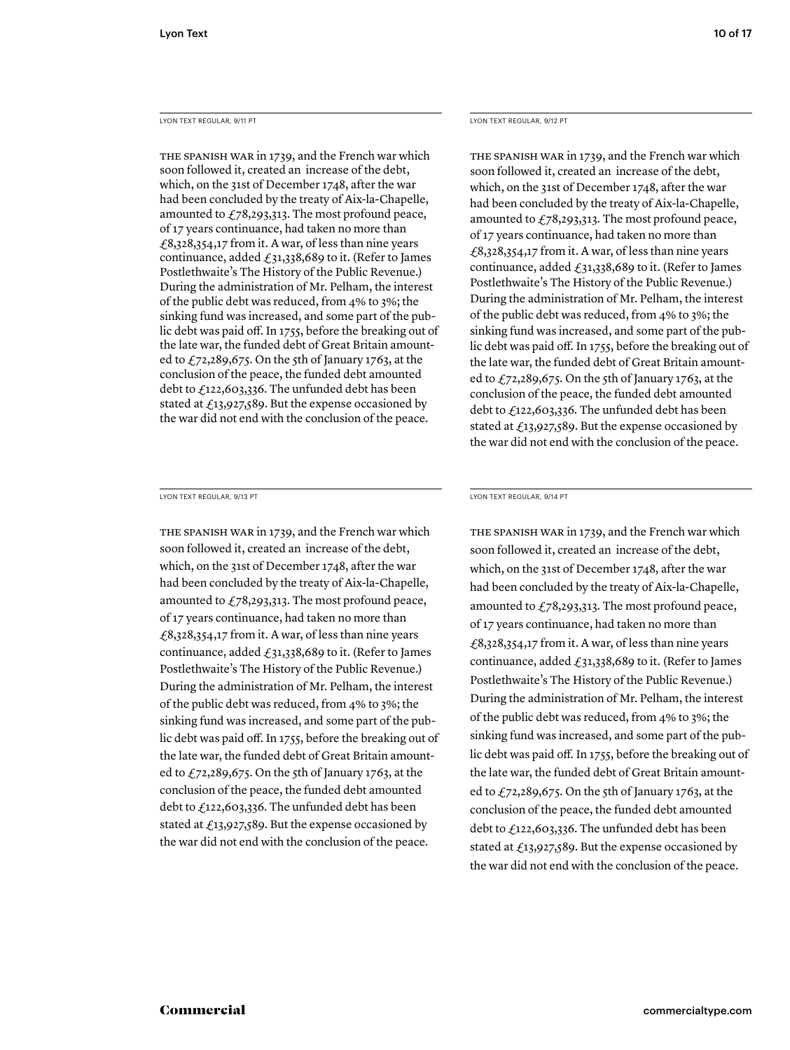# LYON TEXT REGULAR, 9/11 PT

THE SPANISH WAR in 1739, and the French war which soon followed it, created an increase of the debt, which, on the 31st of December 1748, after the war had been concluded by the treaty of Aix-la-Chapelle, amounted to  $\angle 78,293,313$ . The most profound peace, of 17 years continuance, had taken no more than  $£8,328,354,17$  from it. A war, of less than nine years continuance, added  $f_31,338,689$  to it. (Refer to James Postlethwaite's The History of the Public Revenue.) During the administration of Mr. Pelham, the interest of the public debt was reduced, from 4% to 3%; the sinking fund was increased, and some part of the public debt was paid off. In 1755, before the breaking out of the late war, the funded debt of Great Britain amounted to  $f_7$ 2,289,675. On the 5th of January 1763, at the conclusion of the peace, the funded debt amounted debt to £122,603,336. The unfunded debt has been stated at  $\text{\textsterling}13,927,589$ . But the expense occasioned by the war did not end with the conclusion of the peace.

LYON TEXT REGULAR, 9/13 PT

THE SPANISH WAR in 1739, and the French war which soon followed it, created an increase of the debt, which, on the 31st of December 1748, after the war had been concluded by the treaty of Aix-la-Chapelle, amounted to  $\text{\textsterling}78,293,313$ . The most profound peace, of 17 years continuance, had taken no more than £8,328,354,17 from it. A war, of less than nine years continuance, added  $\text{\textsterling}31,338,689$  to it. (Refer to James Postlethwaite's The History of the Public Revenue.) During the administration of Mr. Pelham, the interest of the public debt was reduced, from 4% to 3%; the sinking fund was increased, and some part of the public debt was paid off. In 1755, before the breaking out of the late war, the funded debt of Great Britain amounted to  $\text{\textsterling}72,289,675$ . On the 5th of January 1763, at the conclusion of the peace, the funded debt amounted debt to £122,603,336. The unfunded debt has been stated at  $\text{\textsterling}13,927,589$ . But the expense occasioned by the war did not end with the conclusion of the peace.

LYON TEXT REGULAR, 9/12 PT

THE SPANISH WAR in 1739, and the French war which soon followed it, created an increase of the debt, which, on the 31st of December 1748, after the war had been concluded by the treaty of Aix-la-Chapelle, amounted to  $\text{\textsterling}78,293,313$ . The most profound peace, of 17 years continuance, had taken no more than £8,328,354,17 from it. A war, of less than nine years continuance, added  $\text{\textsterling}31,338,689$  to it. (Refer to James Postlethwaite's The History of the Public Revenue.) During the administration of Mr. Pelham, the interest of the public debt was reduced, from 4% to 3%; the sinking fund was increased, and some part of the public debt was paid off. In 1755, before the breaking out of the late war, the funded debt of Great Britain amounted to  $\text{\textsterling}72,289,675$ . On the 5th of January 1763, at the conclusion of the peace, the funded debt amounted debt to £122,603,336. The unfunded debt has been stated at  $\text{\textsterling}13,927,589$ . But the expense occasioned by the war did not end with the conclusion of the peace.

## LYON TEXT REGULAR, 9/14 PT

THE SPANISH WAR in 1739, and the French war which soon followed it, created an increase of the debt, which, on the 31st of December 1748, after the war had been concluded by the treaty of Aix-la-Chapelle, amounted to  $\angle 78,293,313$ . The most profound peace, of 17 years continuance, had taken no more than  $£8,328,354,17$  from it. A war, of less than nine years continuance, added  $£31,338,689$  to it. (Refer to James Postlethwaite's The History of the Public Revenue.) During the administration of Mr. Pelham, the interest of the public debt was reduced, from 4% to 3%; the sinking fund was increased, and some part of the public debt was paid off. In 1755, before the breaking out of the late war, the funded debt of Great Britain amounted to  $\text{\textsterling}72,289,675$ . On the 5th of January 1763, at the conclusion of the peace, the funded debt amounted debt to £122,603,336. The unfunded debt has been stated at  $\text{\textsterling}13,927,589$ . But the expense occasioned by the war did not end with the conclusion of the peace.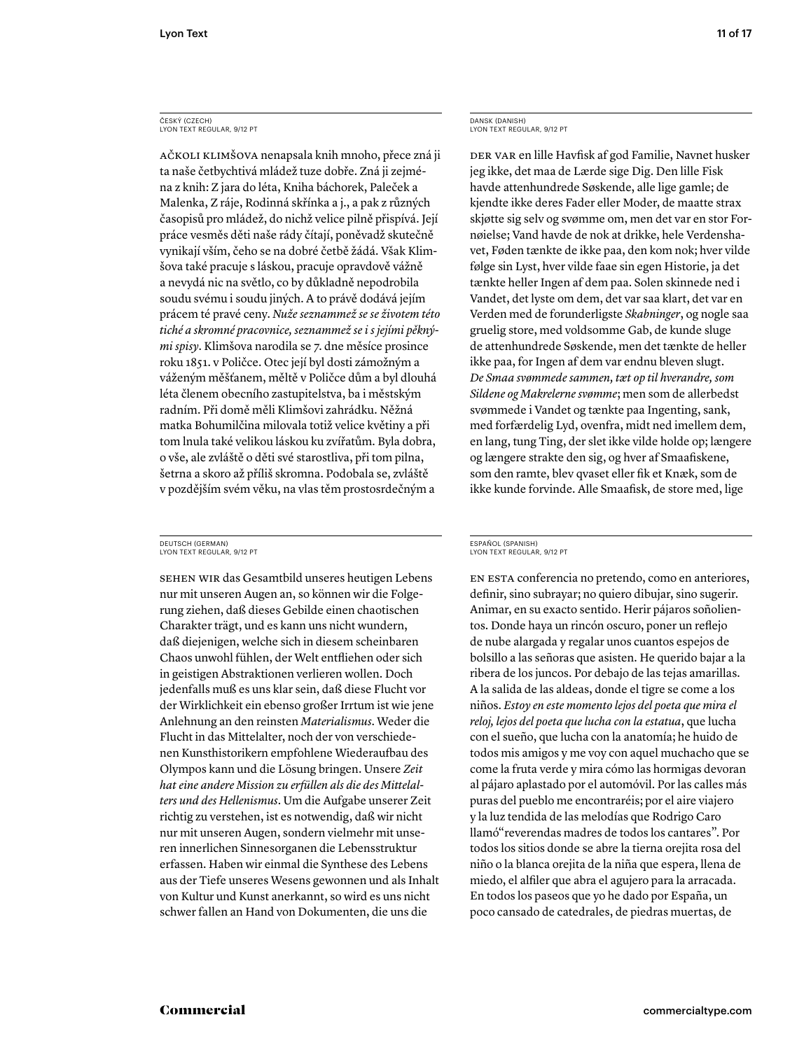AČKOLI KLIMŠOVA nenapsala knih mnoho, přece zná ji ta naše četbychtivá mládež tuze dobře. Zná ji zejména z knih: Z jara do léta, Kniha báchorek, Paleček a Malenka, Z ráje, Rodinná skřínka a j., a pak z různých časopisů pro mládež, do nichž velice pilně přispívá. Její práce vesměs děti naše rády čítají, poněvadž skutečně vynikají vším, čeho se na dobré četbě žádá. Však Klimšova také pracuje s láskou, pracuje opravdově vážně a nevydá nic na světlo, co by důkladně nepodrobila soudu svému i soudu jiných. A to právě dodává jejím prácem té pravé ceny. *Nuže seznammež se se životem této tiché a skromné pracovnice, seznammež se i s jejími pěknými spisy*. Klimšova narodila se 7. dne měsíce prosince roku 1851. v Poličce. Otec její byl dosti zámožným a váženým měšťanem, měltě v Poličce dům a byl dlouhá léta členem obecního zastupitelstva, ba i městským radním. Při domě měli Klimšovi zahrádku. Něžná matka Bohumilčina milovala totiž velice květiny a při tom lnula také velikou láskou ku zvířatům. Byla dobra, o vše, ale zvláště o děti své starostliva, při tom pilna, šetrna a skoro až příliš skromna. Podobala se, zvláště v pozdějším svém věku, na vlas těm prostosrdečným a

#### DEUTSCH (GERMAN) LYON TEXT REGULAR, 9/12 PT

SEHEN WIR das Gesamtbild unseres heutigen Lebens nur mit unseren Augen an, so können wir die Folgerung ziehen, daß dieses Gebilde einen chaotischen Charakter trägt, und es kann uns nicht wundern, daß diejenigen, welche sich in diesem scheinbaren Chaos unwohl fühlen, der Welt entfliehen oder sich in geistigen Abstraktionen verlieren wollen. Doch jedenfalls muß es uns klar sein, daß diese Flucht vor der Wirklichkeit ein ebenso großer Irrtum ist wie jene Anlehnung an den reinsten *Materialismus*. Weder die Flucht in das Mittelalter, noch der von verschiedenen Kunsthistorikern empfohlene Wiederaufbau des Olympos kann und die Lösung bringen. Unsere *Zeit hat eine andere Mission zu erfüllen als die des Mittelalters und des Hellenismus*. Um die Aufgabe unserer Zeit richtig zu verstehen, ist es notwendig, daß wir nicht nur mit unseren Augen, sondern vielmehr mit unseren innerlichen Sinnesorganen die Lebensstruktur erfassen. Haben wir einmal die Synthese des Lebens aus der Tiefe unseres Wesens gewonnen und als Inhalt von Kultur und Kunst anerkannt, so wird es uns nicht schwer fallen an Hand von Dokumenten, die uns die

DANSK (DANISH) LYON TEXT REGULAR, 9/12 PT

DER VAR en lille Havfisk af god Familie, Navnet husker jeg ikke, det maa de Lærde sige Dig. Den lille Fisk havde attenhundrede Søskende, alle lige gamle; de kjendte ikke deres Fader eller Moder, de maatte strax skjøtte sig selv og svømme om, men det var en stor Fornøielse; Vand havde de nok at drikke, hele Verdenshavet, Føden tænkte de ikke paa, den kom nok; hver vilde følge sin Lyst, hver vilde faae sin egen Historie, ja det tænkte heller Ingen af dem paa. Solen skinnede ned i Vandet, det lyste om dem, det var saa klart, det var en Verden med de forunderligste *Skabninger*, og nogle saa gruelig store, med voldsomme Gab, de kunde sluge de attenhundrede Søskende, men det tænkte de heller ikke paa, for Ingen af dem var endnu bleven slugt. *De Smaa svømmede sammen, tæt op til hverandre, som Sildene og Makrelerne svømme*; men som de allerbedst svømmede i Vandet og tænkte paa Ingenting, sank, med forfærdelig Lyd, ovenfra, midt ned imellem dem, en lang, tung Ting, der slet ikke vilde holde op; længere og længere strakte den sig, og hver af Smaafiskene, som den ramte, blev qvaset eller fik et Knæk, som de ikke kunde forvinde. Alle Smaafisk, de store med, lige

#### ESPAÑOL (SPANISH) LYON TEXT REGULAR, 9/12 PT

EN ESTA conferencia no pretendo, como en anteriores, definir, sino subrayar; no quiero dibujar, sino sugerir. Animar, en su exacto sentido. Herir pájaros soñolientos. Donde haya un rincón oscuro, poner un reflejo de nube alargada y regalar unos cuantos espejos de bolsillo a las señoras que asisten. He querido bajar a la ribera de los juncos. Por debajo de las tejas amarillas. A la salida de las aldeas, donde el tigre se come a los niños. *Estoy en este momento lejos del poeta que mira el reloj, lejos del poeta que lucha con la estatua*, que lucha con el sueño, que lucha con la anatomía; he huido de todos mis amigos y me voy con aquel muchacho que se come la fruta verde y mira cómo las hormigas devoran al pájaro aplastado por el automóvil. Por las calles más puras del pueblo me encontraréis; por el aire viajero y la luz tendida de las melodías que Rodrigo Caro llamó"reverendas madres de todos los cantares". Por todos los sitios donde se abre la tierna orejita rosa del niño o la blanca orejita de la niña que espera, llena de miedo, el alfiler que abra el agujero para la arracada. En todos los paseos que yo he dado por España, un poco cansado de catedrales, de piedras muertas, de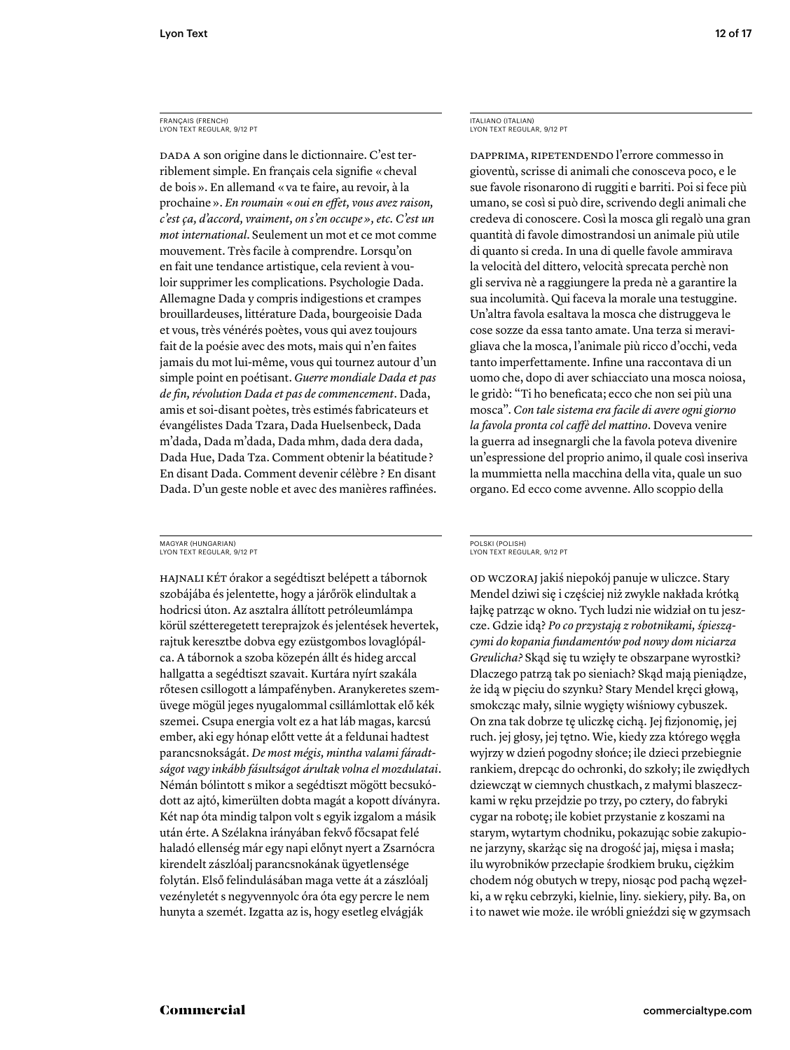# FRANÇAIS (FRENCH) LYON TEXT REGULAR, 9/12 PT

DADA A son origine dans le dictionnaire. C'est terriblement simple. En français cela signifie « cheval de bois ». En allemand « va te faire, au revoir, à la prochaine ». *En roumain* «*oui en effet, vous avez raison*, *c'est ça, d'accord, vraiment, on s'en occupe », etc. C'est un mot international*. Seulement un mot et ce mot comme mouvement. Très facile à comprendre. Lorsqu'on en fait une tendance artistique, cela revient à vouloir supprimer les complications. Psychologie Dada. Allemagne Dada y compris indigestions et crampes brouillardeuses, littérature Dada, bourgeoisie Dada et vous, très vénérés poètes, vous qui avez toujours fait de la poésie avec des mots, mais qui n'en faites jamais du mot lui-même, vous qui tournez autour d'un simple point en poétisant. *Guerre mondiale Dada et pas de fi n, révolution Dada et pas de commencement*. Dada, amis et soi-disant poètes, très estimés fabricateurs et évangélistes Dada Tzara, Dada Huelsenbeck, Dada m'dada, Dada m'dada, Dada mhm, dada dera dada, Dada Hue, Dada Tza. Comment obtenir la béatitude ? En disant Dada. Comment devenir célèbre ? En disant Dada. D'un geste noble et avec des manières raffinées.

#### MAGYAR (HUNGARIAN) LYON TEXT REGULAR, 9/12 PT

HAJNALI KÉT órakor a segédtiszt belépett a tábornok szobájába és jelentette, hogy a járőrök elindultak a hodricsi úton. Az asztalra állított petróleumlámpa körül szétteregetett tereprajzok és jelentések hevertek, rajtuk keresztbe dobva egy ezüstgombos lovaglópálca. A tábornok a szoba közepén állt és hideg arccal hallgatta a segédtiszt szavait. Kurtára nyírt szakála rőtesen csillogott a lámpafényben. Aranykeretes szemüvege mögül jeges nyugalommal csillámlottak elő kék szemei. Csupa energia volt ez a hat láb magas, karcsú ember, aki egy hónap előtt vette át a feldunai hadtest parancsnokságát. *De most mégis, mintha valami fáradtságot vagy inkább fásultságot árultak volna el mozdulatai*. Némán bólintott s mikor a segédtiszt mögött becsukódott az ajtó, kimerülten dobta magát a kopott díványra. Két nap óta mindig talpon volt s egyik izgalom a másik után érte. A Szélakna irányában fekvő főcsapat felé haladó ellenség már egy napi előnyt nyert a Zsarnócra kirendelt zászlóalj parancsnokának ügyetlensége folytán. Első felindulásában maga vette át a zászlóalj vezényletét s negyvennyolc óra óta egy percre le nem hunyta a szemét. Izgatta az is, hogy esetleg elvágják

# ITALIANO (ITALIAN) LYON TEXT REGULAR, 9/12 PT

DAPPRIMA, RIPETENDENDO l'errore commesso in gioventù, scrisse di animali che conosceva poco, e le sue favole risonarono di ruggiti e barriti. Poi si fece più umano, se così si può dire, scrivendo degli animali che credeva di conoscere. Così la mosca gli regalò una gran quantità di favole dimostrandosi un animale più utile di quanto si creda. In una di quelle favole ammirava la velocità del dittero, velocità sprecata perchè non gli serviva nè a raggiungere la preda nè a garantire la sua incolumità. Qui faceva la morale una testuggine. Un'altra favola esaltava la mosca che distruggeva le cose sozze da essa tanto amate. Una terza si meravigliava che la mosca, l'animale più ricco d'occhi, veda tanto imperfettamente. Infine una raccontava di un uomo che, dopo di aver schiacciato una mosca noiosa, le gridò: "Ti ho beneficata; ecco che non sei più una mosca". *Con tale sistema era facile di avere ogni giorno la favola pronta col caffè del mattino*. Doveva venire la guerra ad insegnargli che la favola poteva divenire un'espressione del proprio animo, il quale così inseriva la mummietta nella macchina della vita, quale un suo organo. Ed ecco come avvenne. Allo scoppio della

#### POLSKI (POLISH) LYON TEXT REGULAR, 9/12 PT

OD WCZORAJ jakiś niepokój panuje w uliczce. Stary Mendel dziwi się i częściej niż zwykle nakłada krótką łajkę patrząc w okno. Tych ludzi nie widział on tu jeszcze. Gdzie idą? *Po co przystają z robotnikami, śpieszącymi do kopania fundamentów pod nowy dom niciarza Greulicha?* Skąd się tu wzięły te obszarpane wyrostki? Dlaczego patrzą tak po sieniach? Skąd mają pieniądze, że idą w pięciu do szynku? Stary Mendel kręci głową, smokcząc mały, silnie wygięty wiśniowy cybuszek. On zna tak dobrze tę uliczkę cichą. Jej fizjonomię, jej ruch. jej głosy, jej tętno. Wie, kiedy zza którego węgła wyjrzy w dzień pogodny słońce; ile dzieci przebiegnie rankiem, drepcąc do ochronki, do szkoły; ile zwiędłych dziewcząt w ciemnych chustkach, z małymi blaszeczkami w ręku przejdzie po trzy, po cztery, do fabryki cygar na robotę; ile kobiet przystanie z koszami na starym, wytartym chodniku, pokazując sobie zakupione jarzyny, skarżąc się na drogość jaj, mięsa i masła; ilu wyrobników przecłapie środkiem bruku, ciężkim chodem nóg obutych w trepy, niosąc pod pachą węzełki, a w ręku cebrzyki, kielnie, liny. siekiery, piły. Ba, on i to nawet wie może. ile wróbli gnieździ się w gzymsach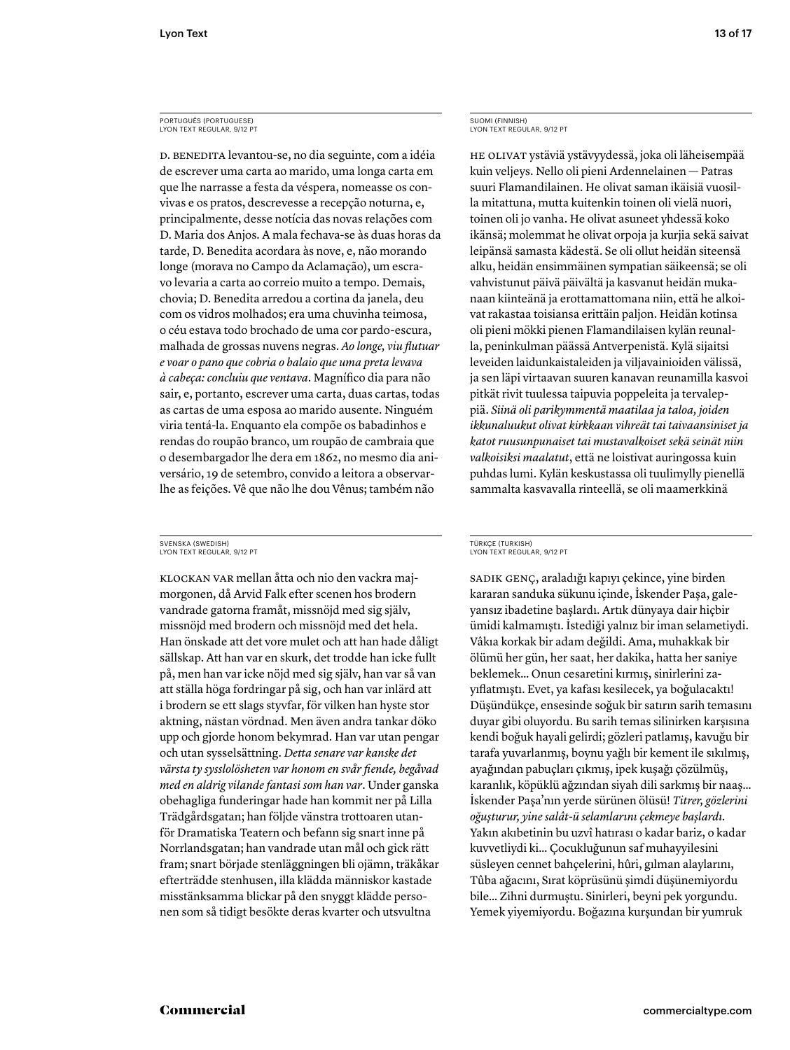# PORTUGUÊS (PORTUGUESE) LYON TEXT REGULAR, 9/12 PT

D. BENEDITA levantou-se, no dia seguinte, com a idéia de escrever uma carta ao marido, uma longa carta em que lhe narrasse a festa da véspera, nomeasse os convivas e os pratos, descrevesse a recepção noturna, e, principalmente, desse notícia das novas relações com D. Maria dos Anjos. A mala fechava-se às duas horas da tarde, D. Benedita acordara às nove, e, não morando longe (morava no Campo da Aclamação), um escravo levaria a carta ao correio muito a tempo. Demais, chovia; D. Benedita arredou a cortina da janela, deu com os vidros molhados; era uma chuvinha teimosa, o céu estava todo brochado de uma cor pardo-escura, malhada de grossas nuvens negras. Ao longe, viu flutuar *e voar o pano que cobria o balaio que uma preta levava à cabeça: concluiu que ventava*. Magnífico dia para não sair, e, portanto, escrever uma carta, duas cartas, todas as cartas de uma esposa ao marido ausente. Ninguém viria tentá-la. Enquanto ela compõe os babadinhos e rendas do roupão branco, um roupão de cambraia que o desembargador lhe dera em 1862, no mesmo dia aniversário, 19 de setembro, convido a leitora a observarlhe as feições. Vê que não lhe dou Vênus; também não

#### SVENSKA (SWEDISH) LYON TEXT REGULAR, 9/12 PT

KLOCKAN VAR mellan åtta och nio den vackra majmorgonen, då Arvid Falk efter scenen hos brodern vandrade gatorna framåt, missnöjd med sig själv, missnöjd med brodern och missnöjd med det hela. Han önskade att det vore mulet och att han hade dåligt sällskap. Att han var en skurk, det trodde han icke fullt på, men han var icke nöjd med sig själv, han var så van att ställa höga fordringar på sig, och han var inlärd att i brodern se ett slags styvfar, för vilken han hyste stor aktning, nästan vördnad. Men även andra tankar döko upp och gjorde honom bekymrad. Han var utan pengar och utan sysselsättning. *Detta senare var kanske det värsta ty sysslolösheten var honom en svår fi ende, begåvad med en aldrig vilande fantasi som han var*. Under ganska obehagliga funderingar hade han kommit ner på Lilla Trädgårdsgatan; han följde vänstra trottoaren utanför Dramatiska Teatern och befann sig snart inne på Norrlandsgatan; han vandrade utan mål och gick rätt fram; snart började stenläggningen bli ojämn, träkåkar efterträdde stenhusen, illa klädda människor kastade misstänksamma blickar på den snyggt klädde personen som så tidigt besökte deras kvarter och utsvultna

# SUOMI (FINNISH) LYON TEXT REGULAR, 9/12 PT

HE OLIVAT ystäviä ystävyydessä, joka oli läheisempää kuin veljeys. Nello oli pieni Ardennelainen — Patras suuri Flamandilainen. He olivat saman ikäisiä vuosilla mitattuna, mutta kuitenkin toinen oli vielä nuori, toinen oli jo vanha. He olivat asuneet yhdessä koko ikänsä; molemmat he olivat orpoja ja kurjia sekä saivat leipänsä samasta kädestä. Se oli ollut heidän siteensä alku, heidän ensimmäinen sympatian säikeensä; se oli vahvistunut päivä päivältä ja kasvanut heidän mukanaan kiinteänä ja erottamattomana niin, että he alkoivat rakastaa toisiansa erittäin paljon. Heidän kotinsa oli pieni mökki pienen Flamandilaisen kylän reunalla, peninkulman päässä Antverpenistä. Kylä sijaitsi leveiden laidunkaistaleiden ja viljavainioiden välissä, ja sen läpi virtaavan suuren kanavan reunamilla kasvoi pitkät rivit tuulessa taipuvia poppeleita ja tervaleppiä. *Siinä oli parikymmentä maatilaa ja taloa, joiden ikkunaluukut olivat kirkkaan vihreät tai taivaansiniset ja katot ruusunpunaiset tai mustavalkoiset sekä seinät niin valkoisiksi maalatut*, että ne loistivat auringossa kuin puhdas lumi. Kylän keskustassa oli tuulimylly pienellä sammalta kasvavalla rinteellä, se oli maamerkkinä

#### TÜRKÇE (TURKISH) LYON TEXT REGULAR, 9/12 PT

SADIK GENC, araladığı kapıyı çekince, yine birden kararan sanduka sükunu içinde, İskender Paşa, galeyansız ibadetine başlardı. Artık dünyaya dair hiçbir ümidi kalmamıştı. İstediği yalnız bir iman selametiydi. Vâkıa korkak bir adam değildi. Ama, muhakkak bir ölümü her gün, her saat, her dakika, hatta her saniye beklemek... Onun cesaretini kırmış, sinirlerini zayıflatmıştı. Evet, ya kafası kesilecek, ya boğulacaktı! Düşündükçe, ensesinde soğuk bir satırın sarih temasını duyar gibi oluyordu. Bu sarih temas silinirken karşısına kendi boğuk hayali gelirdi; gözleri patlamış, kavuğu bir tarafa yuvarlanmış, boynu yağlı bir kement ile sıkılmış, ayağından pabuçları çıkmış, pek kuşağı çözülmüş, karanlık, köpüklü ağzından siyah dili sarkmış bir naaş... İskender Paşa'nın yerde sürünen ölüsü! *Ttrer, gözlern oğuşturur, yne salât-ü selamlarını çekmeye başlardı.*  Yakın akıbetinin bu uzvî hatırası o kadar bariz, o kadar kuvvetliydi ki... Çocukluğunun saf muhayyilesini süsleyen cennet bahçelerini, hûri, gılman alaylarını, Tûba ağacını, Sırat köprüsünü şimdi düşünemiyordu bile... Zihni durmuştu. Sinirleri, beyni pek yorgundu. Yemek yiyemiyordu. Boğazına kurşundan bir yumruk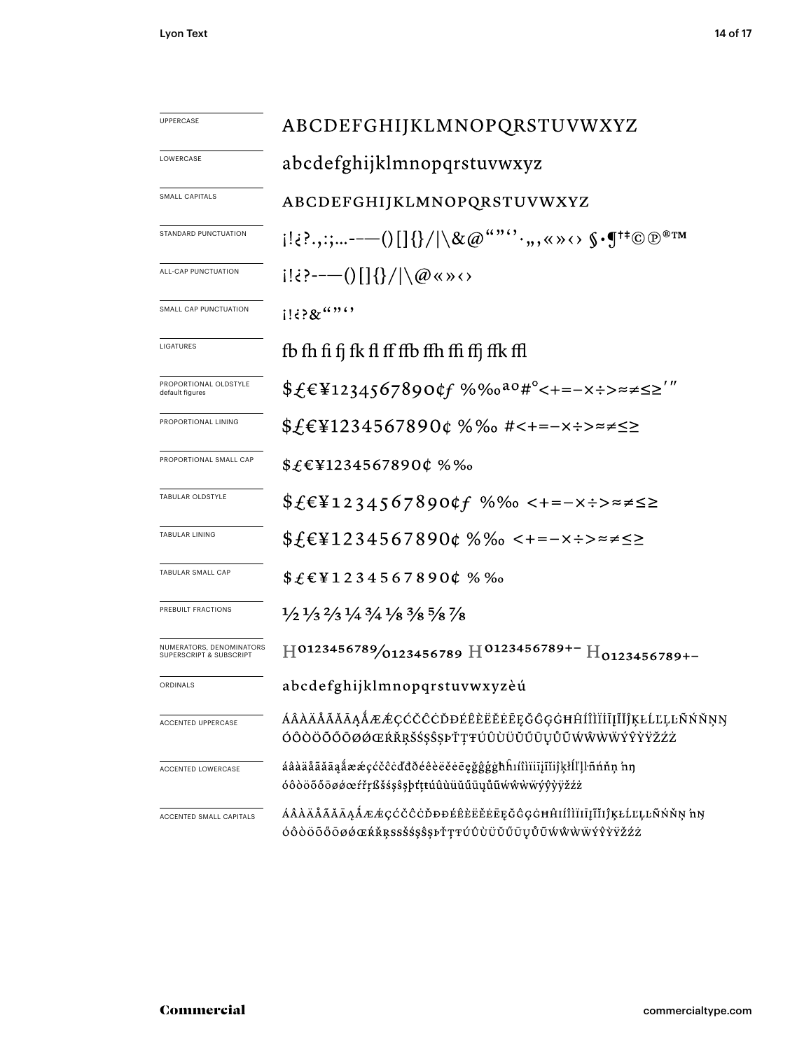| <b>UPPERCASE</b>                                    | ABCDEFGHIJKLMNOPQRSTUVWXYZ                                                                                                    |  |  |  |  |  |
|-----------------------------------------------------|-------------------------------------------------------------------------------------------------------------------------------|--|--|--|--|--|
| LOWERCASE                                           | abcdefghijklmnopqrstuvwxyz                                                                                                    |  |  |  |  |  |
| SMALL CAPITALS                                      | ABCDEFGHIJKLMNOPQRSTUVWXYZ                                                                                                    |  |  |  |  |  |
| STANDARD PUNCTUATION                                |                                                                                                                               |  |  |  |  |  |
| ALL-CAP PUNCTUATION                                 | $i! \in \{-\infty\} \cup \{1\} \cup \{1\} \cup \{1\} \cup \{1\}$                                                              |  |  |  |  |  |
| SMALL CAP PUNCTUATION                               | $1!38$ $(3)$                                                                                                                  |  |  |  |  |  |
| LIGATURES                                           | fb fh fi fj fk fl ff ffb ffh ffi ffj ffk ffl                                                                                  |  |  |  |  |  |
| PROPORTIONAL OLDSTYLE<br>default figures            | $$f \in \text{\$1234567890}$ $$67890$ $$f$ %%0 <sup>a0#°</sup> < + = – x ÷ > $\approx \neq \leq$ > $"$                        |  |  |  |  |  |
| PROPORTIONAL LINING                                 | \$£€¥1234567890¢ %‰ #<+=−×÷>≈≠≤≥                                                                                              |  |  |  |  |  |
| PROPORTIONAL SMALL CAP                              | $$£€¥1234567890¢$ %‰                                                                                                          |  |  |  |  |  |
| TABULAR OLDSTYLE                                    | $$£€¥1234567890¢f %% c+=-x:-x:=z \le 2$                                                                                       |  |  |  |  |  |
| <b>TABULAR LINING</b>                               | $$£$ E¥1234567890¢ %‰ <+=-x÷>≈≠≤≥                                                                                             |  |  |  |  |  |
| TABULAR SMALL CAP                                   | \$£€¥1234567890¢ %%                                                                                                           |  |  |  |  |  |
| PREBUILT FRACTIONS                                  | $\frac{1}{2}$ $\frac{1}{3}$ $\frac{2}{3}$ $\frac{1}{4}$ $\frac{3}{4}$ $\frac{1}{8}$ $\frac{3}{8}$ $\frac{5}{8}$ $\frac{7}{8}$ |  |  |  |  |  |
| NUMERATORS, DENOMINATORS<br>SUPERSCRIPT & SUBSCRIPT | $\text{H}^{0123456789}$ /0123456789 H $^{0123456789+-}$ H <sub>0123456789+</sub> -                                            |  |  |  |  |  |
| ORDINALS                                            | abcdefghijklmnopqrstuvwxyzèú                                                                                                  |  |  |  |  |  |
| <b>ACCENTED UPPERCASE</b>                           | ÁÂÀÄÅÃĂĀĄÅÆÆÇĆČĈĊĎĐÉÊÈËĔĔĒĘĞĜĢĠĦĤÍÎÌÏĬĮĨĬĴĶŁĹĽĻĿÑŃŇŅŊ<br>ÓÔÒÖŐŐŌØØŒŔŘŖŠŚŞŜŞÞŤŢŦÚÛÙÜŬŰŪŲŮŨŴŴŴŴÝŶŶŸŽŹŻ                          |  |  |  |  |  |
| ACCENTED LOWERCASE                                  | áâàäåãăāąåææçćčĉċďđðéêèëĕēęğĝģġħĥıíîìïiīįĩĭiĵķłĺľļŀñńňņ 'nŋ<br>óôòöõőōøøœŕřŗßšśşŝşþťţŧúûùüŭűūųůũwŵẁẅýŷỳÿžźż                   |  |  |  |  |  |
| ACCENTED SMALL CAPITALS                             | ÁÂÀÄÅÃĂĀĄÅÆÆÇĆČĈĊĎĐĐÉÊÈËĔĒĒĘĞĜĢĠĦĤIÍÎÌÏĪĮĨĬIĴĶŁĹĽĻĿÑŃŇŅ'nŊ<br>ÓÔÒÖÕŐŌØØŒŔŘŖSSŠŚŞŜŞÞŤŢŦÚÛÙÜŬŰŪŲŮŨŴŴŴŴÝŶŸŽŹŻ                    |  |  |  |  |  |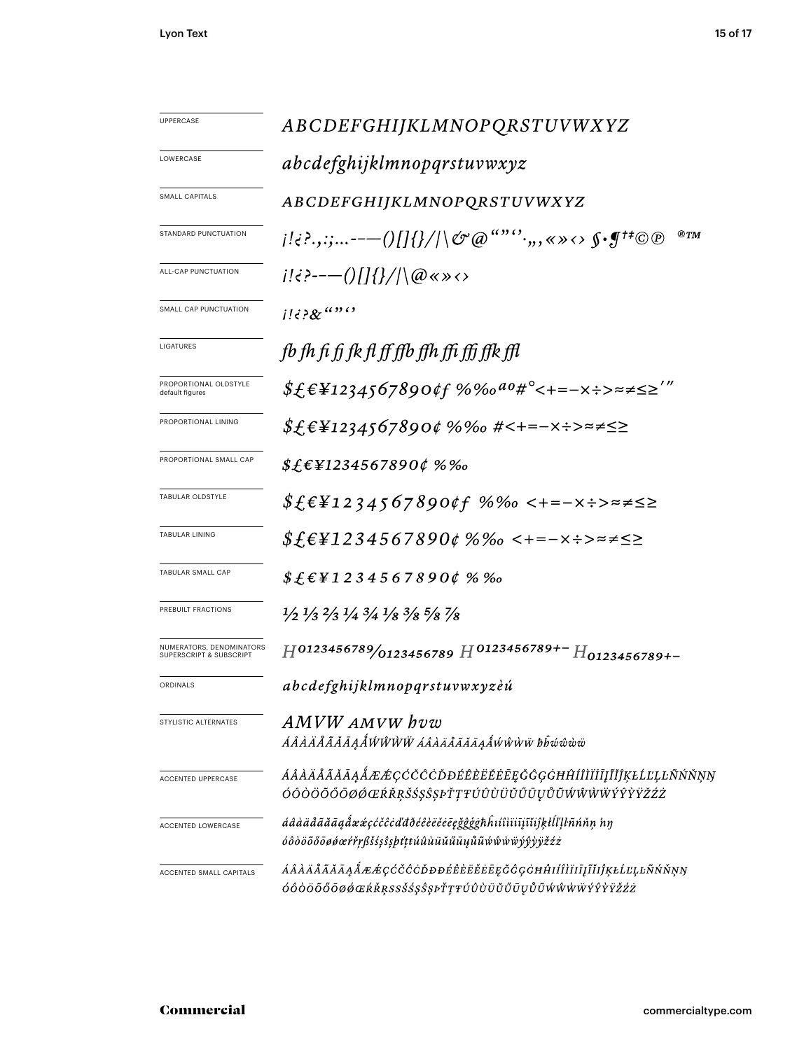| <b>UPPERCASE</b>                                    | ABCDEFGHIJKLMNOPQRSTUVWXYZ                                                                                                    |  |  |  |  |  |
|-----------------------------------------------------|-------------------------------------------------------------------------------------------------------------------------------|--|--|--|--|--|
| LOWERCASE                                           | abcdefghijklmnopqrstuvwxyz                                                                                                    |  |  |  |  |  |
| <b>SMALL CAPITALS</b>                               | ABCDEFGHIJKLMNOPQRSTUVWXYZ                                                                                                    |  |  |  |  |  |
| STANDARD PUNCTUATION                                | ®TM                                                                                                                           |  |  |  |  |  |
| ALL-CAP PUNCTUATION                                 | $i! \in \{-\frac{1}{2}, \cdots, \ldots\}$                                                                                     |  |  |  |  |  |
| SMALL CAP PUNCTUATION                               | $1!i$ ? $8i$ <sup>(1)</sup>                                                                                                   |  |  |  |  |  |
| LIGATURES                                           | fb fh fi fj fk fl ff ffb ffh ffi ffj ffk ffl                                                                                  |  |  |  |  |  |
| PROPORTIONAL OLDSTYLE<br>default figures            | $$f_{\epsilon}$ £¥1234567890¢f %‰ <sup>ao</sup> #°<+=-x÷>≈≠≤≥'"                                                               |  |  |  |  |  |
| PROPORTIONAL LINING                                 | \$£€¥1234567890¢ %‰ #<+=−×÷>≈≠≤≥                                                                                              |  |  |  |  |  |
| PROPORTIONAL SMALL CAP                              | $$£$ £¥1234567890¢ %‰                                                                                                         |  |  |  |  |  |
| TABULAR OLDSTYLE                                    | $$f$F$1234567890$ tf %‰ <+=-x÷>≈≠≤≥                                                                                           |  |  |  |  |  |
| <b>TABULAR LINING</b>                               | $$f_{\epsilon}$ £¥1234567890¢ %‰ <+=-x÷>≈≠≤≥                                                                                  |  |  |  |  |  |
| TABULAR SMALL CAP                                   | $$£E$ ¥1234567890¢ % ‰                                                                                                        |  |  |  |  |  |
| PREBUILT FRACTIONS                                  | $\frac{1}{2}$ $\frac{1}{3}$ $\frac{2}{3}$ $\frac{1}{4}$ $\frac{3}{4}$ $\frac{1}{8}$ $\frac{3}{8}$ $\frac{5}{8}$ $\frac{7}{8}$ |  |  |  |  |  |
| NUMERATORS, DENOMINATORS<br>SUPERSCRIPT & SUBSCRIPT | $H^{0123456789}/0123456789$ $H^{0123456789+-}$ $H_{0123456789+-}$                                                             |  |  |  |  |  |
| ORDINALS                                            | abcdefghijklmnopqrstuvwxyzèú                                                                                                  |  |  |  |  |  |
| STYLISTIC ALTERNATES                                | AMVW AMVW hvw<br>ÁÂÀÄÅÃĂĀĄÅŴŴŴŴ AÂÀÄÅÃĂĀĄÅŴŴŴŴ ħĥŵŵẁẅ                                                                         |  |  |  |  |  |
| <b>ACCENTED UPPERCASE</b>                           | ÁÂÀÄÅÃĂĀĄÅÆÆÇĆČĈĊĎĐÉÊÈËËĒĒĘĞĜĢĠĦĤÍÎÌÏĪĮĨĬĴĶŁĹĽĻĿÑŃŇŅŊ<br>ÓÔÒÖŐŐŌØØŒŔŘŖŠŚŞŜŞÞŤŢŦÚÛÙÜŬŰŪŲŮŨŴŴŴŴÝŶŶŸŽŹŻ                          |  |  |  |  |  |
| <b>ACCENTED LOWERCASE</b>                           | áâàäåããāąåææçćčĉcďđðéêèëĕēeğĝģġħĥıíîìïiījĩijķłĺľļŀñńňņ nŋ<br>óôòöõőōøøœŕřŗßšśşŝşþtttúûùüŭűūųůũŵŵŵŵÿŷỳÿžźż                     |  |  |  |  |  |
| ACCENTED SMALL CAPITALS                             | <i>ÁÂÀÄÅÃĂĀĄÅÆÆÇĆČĈĊĎĐĐÉÊÈËĚĒĘĞĜĢĠĦĤIÍÎÌÏĪĮĨĬIĴĶŁĹĽĻĿÑŃŇŅŊ</i><br>ÓÔÒÖŐŐŌØØŒŔŘŖSSŠŚŞŜŞÞŤŢŦÚÛÙÜŬŰŪŲŮŨŴŴŴŴÝŶŶŸŽŹŻ               |  |  |  |  |  |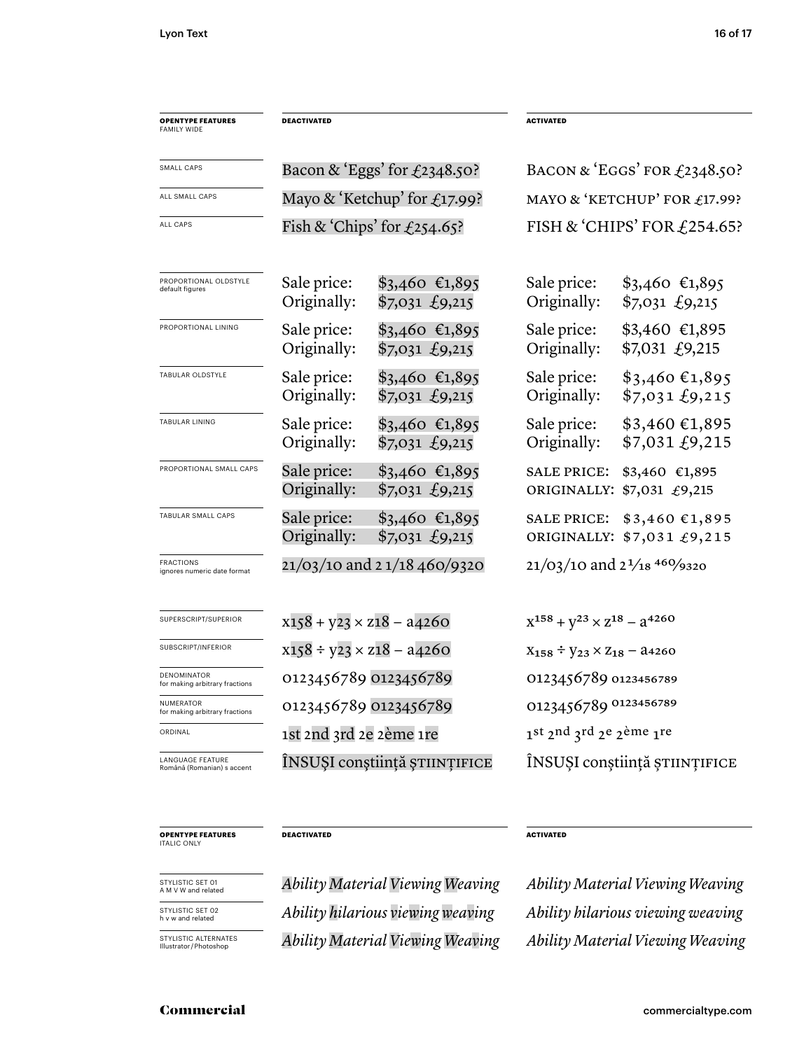| <b>OPENTYPE FEATURES</b><br>FAMILY WIDE         | <b>DEACTIVATED</b>                                 |                                                                | <b>ACTIVATED</b>                            |                                                                        |  |
|-------------------------------------------------|----------------------------------------------------|----------------------------------------------------------------|---------------------------------------------|------------------------------------------------------------------------|--|
| SMALL CAPS                                      | Bacon & 'Eggs' for $\text{\textsterling}2348.50$ ? |                                                                | BACON & 'EGGS' FOR $f$ 2348.50?             |                                                                        |  |
| ALL SMALL CAPS                                  | Mayo & 'Ketchup' for $\text{\textsterling}17.99$ ? |                                                                | MAYO & 'KETCHUP' FOR £17.99?                |                                                                        |  |
| ALL CAPS                                        | Fish & 'Chips' for $\text{\textsterling}254.65$ ?  |                                                                | FISH & 'CHIPS' FOR $£254.65$ ?              |                                                                        |  |
| PROPORTIONAL OLDSTYLE<br>default figures        | Sale price:<br>Originally:                         | $$3,460$ €1,895<br>$$7,031 \text{ } \text{\textsterling}9,215$ | Sale price:<br>Originally:                  | $$3,460$ €1,895<br>$$7,031 \text{ } \pounds9,215$                      |  |
| PROPORTIONAL LINING                             | Sale price:<br>Originally:                         | $$3,460$ €1,895<br>$$7,031 \text{ } \text{\textsterling}9,215$ | Sale price:<br>Originally:                  | $$3,460$ €1,895<br>\$7,031 £9,215                                      |  |
| TABULAR OLDSTYLE                                | Sale price:<br>Originally:                         | $$3,460$ €1,895<br>$$7,031 \text{ } \text{\textsterling}9,215$ | Sale price:<br>Originally:                  | $$3,460 \text{ €}1,895$<br>$$7,031 \text{ } \text{\textsterling}9,215$ |  |
| TABULAR LINING                                  | Sale price:<br>Originally:                         | $$3,460$ €1,895<br>$$7,031 \text{ } \text{\textsterling}9,215$ | Sale price:<br>Originally:                  | $$3,460 \in 1,895$<br>\$7,031 f9,215                                   |  |
| PROPORTIONAL SMALL CAPS                         | Sale price:<br>Originally:                         | $$3,460$ €1,895<br>$$7,031 \text{ } \text{\textsterling}9,215$ | <b>SALE PRICE:</b>                          | \$3,460 €1,895<br>ORIGINALLY: \$7,031 £9,215                           |  |
| TABULAR SMALL CAPS                              | Sale price:<br>Originally:                         | $$3,460$ €1,895<br>$$7,031 \text{ } \text{\textsterling}9,215$ | <b>SALE PRICE:</b>                          | \$3,460€1,895<br>ORIGINALLY: \$7,031 £9,215                            |  |
| <b>FRACTIONS</b><br>ignores numeric date format | 21/03/10 and 21/18 460/9320                        |                                                                | $21/03/10$ and $2\frac{1}{18}$ 460/9320     |                                                                        |  |
| SUPERSCRIPT/SUPERIOR                            | $x158 + y23 \times z18 - a4260$                    |                                                                | $X^{158} + Y^{23} \times Z^{18} - Z^{4260}$ |                                                                        |  |
| SUBSCRIPT/INFERIOR                              | $x158 \div y23 \times z18 - a4260$                 |                                                                | $X_{158} \div Y_{23} \times Z_{18} - 24260$ |                                                                        |  |
| DENOMINATOR<br>for making arbitrary fractions   | 0123456789 0123456789                              |                                                                | 0123456789 0123456789                       |                                                                        |  |
| NUMERATOR<br>for making arbitrary fractions     | 0123456789 0123456789                              |                                                                |                                             | 0123456789 0123456789                                                  |  |
| ORDINAL                                         | 1st 2nd 3rd 2e 2ème 1re                            |                                                                |                                             | 1st 2nd 3rd 2e 2ème 1re                                                |  |
| LANGUAGE FEATURE<br>Română (Romanian) s accent  |                                                    | INSUȘI conștiință științifice                                  |                                             | ÎNSUȘI conștiință științifice                                          |  |
|                                                 |                                                    |                                                                |                                             |                                                                        |  |

**OPENTYPE FEATURES** ITALIC ONLY

STYLISTIC SET 01 A M V W and related

STYLISTIC SET 02 h v w and related

STYLISTIC ALTERNATES<br>Illustrator/Photoshop

*Ability hilarious viewing weaving Ability hilarious viewing weaving* Illustrator / Photoshop *Ability Material Viewing Weaving Ability Material Viewing Weaving*

**DEACTIVATED ACTIVATED** 

*Ability Material Viewing Weaving Ability Material Viewing Weaving*